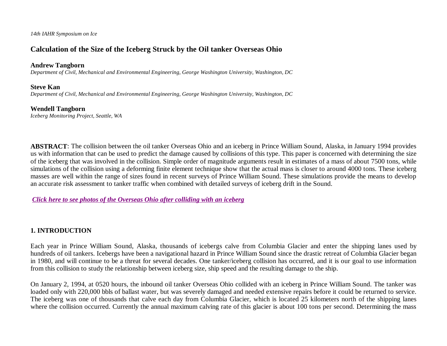*14th IAHR Symposium on Ice*

# **Calculation of the Size of the Iceberg Struck by the Oil tanker Overseas Ohio**

#### **Andrew Tangborn**

*Department of Civil, Mechanical and Environmental Engineering, George Washington University, Washington, DC*

#### **Steve Kan**

*Department of Civil, Mechanical and Environmental Engineering, George Washington University, Washington, DC*

#### **Wendell Tangborn**

*Iceberg Monitoring Project, Seattle, WA*

**ABSTRACT**: The collision between the oil tanker Overseas Ohio and an iceberg in Prince William Sound, Alaska, in January 1994 provides us with information that can be used to predict the damage caused by collisions of this type. This paper is concerned with determining the size of the iceberg that was involved in the collision. Simple order of magnitude arguments result in estimates of a mass of about 7500 tons, while simulations of the collision using a deforming finite element technique show that the actual mass is closer to around 4000 tons. These iceberg masses are well within the range of sizes found in recent surveys of Prince William Sound. These simulations provide the means to develop an accurate risk assessment to tanker traffic when combined with detailed surveys of iceberg drift in the Sound.

*Click here to see photos of the Overseas Ohio after colliding with an iceberg*

### **1. INTRODUCTION**

Each year in Prince William Sound, Alaska, thousands of icebergs calve from Columbia Glacier and enter the shipping lanes used by hundreds of oil tankers. Icebergs have been a navigational hazard in Prince William Sound since the drastic retreat of Columbia Glacier began in 1980, and will continue to be a threat for several decades. One tanker/iceberg collision has occurred, and it is our goal to use information from this collision to study the relationship between iceberg size, ship speed and the resulting damage to the ship.

On January 2, 1994, at 0520 hours, the inbound oil tanker Overseas Ohio collided with an iceberg in Prince William Sound. The tanker was loaded only with 220,000 bbls of ballast water, but was severely damaged and needed extensive repairs before it could be returned to service. The iceberg was one of thousands that calve each day from Columbia Glacier, which is located 25 kilometers north of the shipping lanes where the collision occurred. Currently the annual maximum calving rate of this glacier is about 100 tons per second. Determining the mass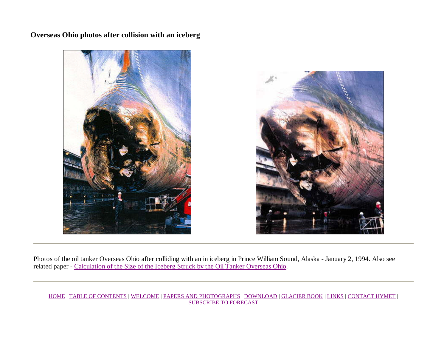**Overseas Ohio photos after collision with an iceberg**





Photos of the oil tanker Overseas Ohio after colliding with an in iceberg in Prince William Sound, Alaska - January 2, 1994. Also see related paper - Calculation of the Size of the Iceberg Struck by the Oil Tanker Overseas Ohio.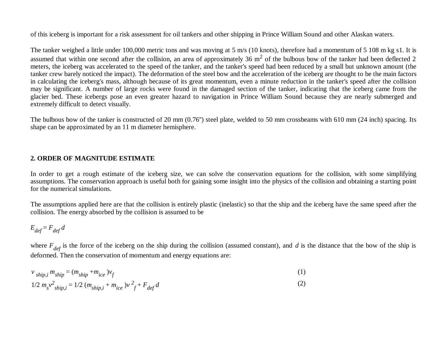of this iceberg is important for a risk assessment for oil tankers and other shipping in Prince William Sound and other Alaskan waters.

The tanker weighed a little under 100,000 metric tons and was moving at 5 m/s (10 knots), therefore had a momentum of 5 108 m kg s1. It is assumed that within one second after the collision, an area of approximately 36 m<sup>2</sup> of the bulbous bow of the tanker had been deflected 2 meters, the iceberg was accelerated to the speed of the tanker, and the tanker's speed had been reduced by a small but unknown amount (the tanker crew barely noticed the impact). The deformation of the steel bow and the acceleration of the iceberg are thought to be the main factors in calculating the iceberg's mass, although because of its great momentum, even a minute reduction in the tanker's speed after the collision may be significant. A number of large rocks were found in the damaged section of the tanker, indicating that the iceberg came from the glacier bed. These icebergs pose an even greater hazard to navigation in Prince William Sound because they are nearly submerged and extremely difficult to detect visually.

The bulbous bow of the tanker is constructed of 20 mm (0.76'') steel plate, welded to 50 mm crossbeams with 610 mm (24 inch) spacing. Its shape can be approximated by an 11 m diameter hemisphere.

### **2. ORDER OF MAGNITUDE ESTIMATE**

In order to get a rough estimate of the iceberg size, we can solve the conservation equations for the collision, with some simplifying assumptions. The conservation approach is useful both for gaining some insight into the physics of the collision and obtaining a starting point for the numerical simulations.

The assumptions applied here are that the collision is entirely plastic (inelastic) so that the ship and the iceberg have the same speed after the collision. The energy absorbed by the collision is assumed to be

$$
E_{def} = F_{def} d
$$

where  $F_{def}$  is the force of the iceberg on the ship during the collision (assumed constant), and *d* is the distance that the bow of the ship is deformed. Then the conservation of momentum and energy equations are:

$$
v_{ship,i} m_{ship} = (m_{ship} + m_{ice})v_f
$$
 (1)

$$
1/2 \, m_s v^2_{ship,i} = 1/2 \, (m_{ship,i} + m_{ice}) v^2 + F_{def} d \tag{2}
$$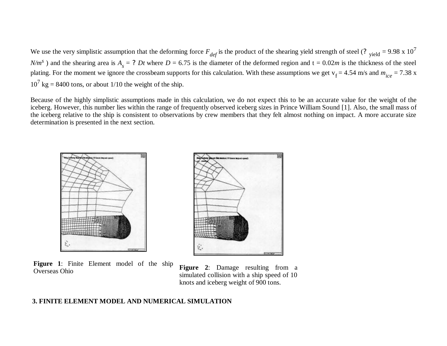We use the very simplistic assumption that the deforming force  $F_{def}$  is the product of the shearing yield strength of steel (?  $_{yield} = 9.98 \times 10^7$  $N/m<sup>s</sup>$ ) and the shearing area is  $A<sub>s</sub> = ?$  *Dt* where  $D = 6.75$  is the diameter of the deformed region and t = 0.02*m* is the thickness of the steel plating. For the moment we ignore the crossbeam supports for this calculation. With these assumptions we get  $v_f = 4.54$  m/s and  $m_{ice} = 7.38$  x  $10^7$  kg = 8400 tons, or about 1/10 the weight of the ship.

Because of the highly simplistic assumptions made in this calculation, we do not expect this to be an accurate value for the weight of the iceberg. However, this number lies within the range of frequently observed iceberg sizes in Prince William Sound [1]. Also, the small mass of the iceberg relative to the ship is consistent to observations by crew members that they felt almost nothing on impact. A more accurate size determination is presented in the next section.



**Figure 1**: Finite Element model of the ship **Figure 1.** Finite Element model of the ship Figure 2: Damage resulting from a Overseas Ohio



simulated collision with a ship speed of 10 knots and iceberg weight of 900 tons.

#### **3. FINITE ELEMENT MODEL AND NUMERICAL SIMULATION**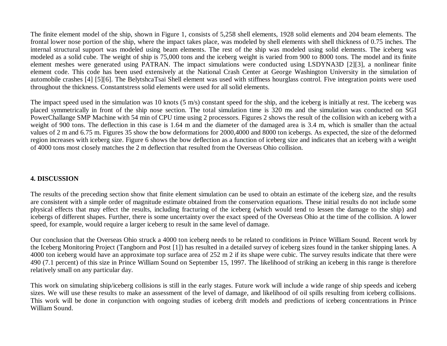The finite element model of the ship, shown in Figure 1, consists of 5,258 shell elements, 1928 solid elements and 204 beam elements. The frontal lower nose portion of the ship, where the impact takes place, was modeled by shell elements with shell thickness of 0.75 inches. The internal structural support was modeled using beam elements. The rest of the ship was modeled using solid elements. The iceberg was modeled as a solid cube. The weight of ship is 75,000 tons and the iceberg weight is varied from 900 to 8000 tons. The model and its finite element meshes were generated using PATRAN. The impact simulations were conducted using LSDYNA3D [2][3], a nonlinear finite element code. This code has been used extensively at the National Crash Center at George Washington University in the simulation of automobile crashes [4] [5][6]. The BelytshcaTsai Shell element was used with stiffness hourglass control. Five integration points were used throughout the thickness. Constantstress solid elements were used for all solid elements.

The impact speed used in the simulation was 10 knots (5 m/s) constant speed for the ship, and the iceberg is initially at rest. The iceberg was placed symmetrically in front of the ship nose section. The total simulation time is 320 ms and the simulation was conducted on SGI PowerChallange SMP Machine with 54 min of CPU time using 2 processors. Figures 2 shows the result of the collision with an iceberg with a weight of 900 tons. The deflection in this case is 1.64 m and the diameter of the damaged area is 3.4 m, which is smaller than the actual values of 2 m and 6.75 m. Figures 35 show the bow deformations for 2000,4000 and 8000 ton icebergs. As expected, the size of the deformed region increases with iceberg size. Figure 6 shows the bow deflection as a function of iceberg size and indicates that an iceberg with a weight of 4000 tons most closely matches the 2 m deflection that resulted from the Overseas Ohio collision.

### **4. DISCUSSION**

The results of the preceding section show that finite element simulation can be used to obtain an estimate of the iceberg size, and the results are consistent with a simple order of magnitude estimate obtained from the conservation equations. These initial results do not include some physical effects that may effect the results, including fracturing of the iceberg (which would tend to lessen the damage to the ship) and icebergs of different shapes. Further, there is some uncertainty over the exact speed of the Overseas Ohio at the time of the collision. A lower speed, for example, would require a larger iceberg to result in the same level of damage.

Our conclusion that the Overseas Ohio struck a 4000 ton iceberg needs to be related to conditions in Prince William Sound. Recent work by the Iceberg Monitoring Project (Tangborn and Post [1]) has resulted in a detailed survey of iceberg sizes found in the tanker shipping lanes. A 4000 ton iceberg would have an approximate top surface area of 252 m 2 if its shape were cubic. The survey results indicate that there were 490 (7.1 percent) of this size in Prince William Sound on September 15, 1997. The likelihood of striking an iceberg in this range is therefore relatively small on any particular day.

This work on simulating ship/iceberg collisions is still in the early stages. Future work will include a wide range of ship speeds and iceberg sizes. We will use these results to make an assessment of the level of damage, and likelihood of oil spills resulting from iceberg collisions. This work will be done in conjunction with ongoing studies of iceberg drift models and predictions of iceberg concentrations in Prince William Sound.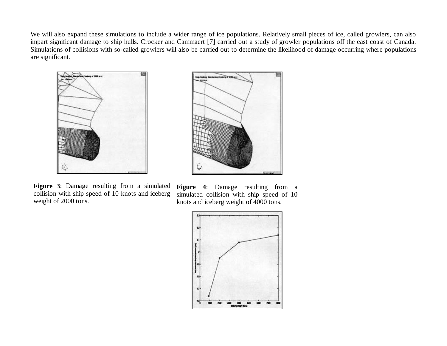We will also expand these simulations to include a wider range of ice populations. Relatively small pieces of ice, called growlers, can also impart significant damage to ship hulls. Crocker and Cammaert [7] carried out a study of growler populations off the east coast of Canada. Simulations of collisions with so-called growlers will also be carried out to determine the likelihood of damage occurring where populations are significant.



بي]

**Figure 3**: Damage resulting from a simulated collision with ship speed of 10 knots and iceberg weight of 2000 tons.

Figure 4: Damage resulting from a simulated collision with ship speed of 10 knots and iceberg weight of 4000 tons.

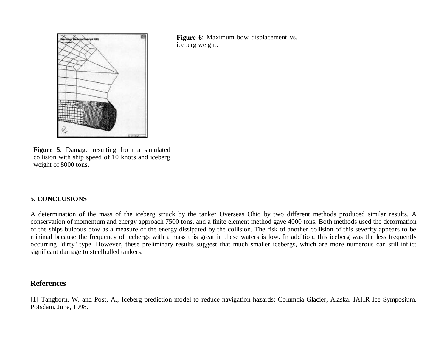

**Figure 6**: Maximum bow displacement vs. iceberg weight.

**Figure 5**: Damage resulting from a simulated collision with ship speed of 10 knots and iceberg weight of 8000 tons.

## **5. CONCLUSIONS**

A determination of the mass of the iceberg struck by the tanker Overseas Ohio by two different methods produced similar results. A conservation of momentum and energy approach 7500 tons, and a finite element method gave 4000 tons. Both methods used the deformation of the ships bulbous bow as a measure of the energy dissipated by the collision. The risk of another collision of this severity appears to be minimal because the frequency of icebergs with a mass this great in these waters is low. In addition, this iceberg was the less frequently occurring ''dirty'' type. However, these preliminary results suggest that much smaller icebergs, which are more numerous can still inflict significant damage to steelhulled tankers.

#### **References**

[1] Tangborn, W. and Post, A., Iceberg prediction model to reduce navigation hazards: Columbia Glacier, Alaska. IAHR Ice Symposium, Potsdam, June, 1998.